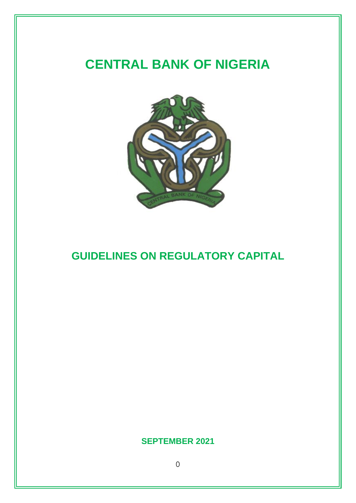# **CENTRAL BANK OF NIGERIA**



## **GUIDELINES ON REGULATORY CAPITAL**

## **SEPTEMBER 2021**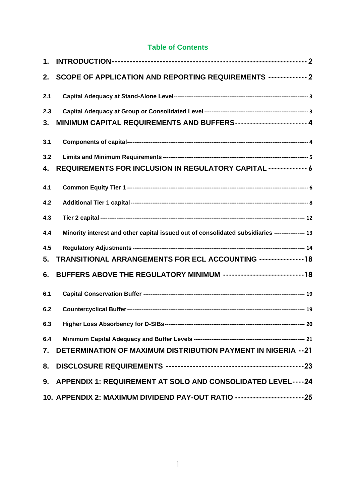## **Table of Contents**

| 1.  |                                                                                                  |
|-----|--------------------------------------------------------------------------------------------------|
| 2.  | SCOPE OF APPLICATION AND REPORTING REQUIREMENTS ------------- 2                                  |
| 2.1 |                                                                                                  |
| 2.3 |                                                                                                  |
| 3.  | MINIMUM CAPITAL REQUIREMENTS AND BUFFERS----------------------- 4                                |
| 3.1 |                                                                                                  |
| 3.2 |                                                                                                  |
| 4.  | REQUIREMENTS FOR INCLUSION IN REGULATORY CAPITAL ------------- 6                                 |
| 4.1 |                                                                                                  |
| 4.2 |                                                                                                  |
| 4.3 |                                                                                                  |
| 4.4 | Minority interest and other capital issued out of consolidated subsidiaries ----------------- 13 |
| 4.5 |                                                                                                  |
| 5.  | TRANSITIONAL ARRANGEMENTS FOR ECL ACCOUNTING --------------18                                    |
| 6.  | BUFFERS ABOVE THE REGULATORY MINIMUM --------------------------18                                |
| 6.1 |                                                                                                  |
| 6.2 |                                                                                                  |
| 6.3 | Higher Loss Absorbency for D-SIBs--------------<br>- 20                                          |
| 6.4 |                                                                                                  |
|     | 7. DETERMINATION OF MAXIMUM DISTRIBUTION PAYMENT IN NIGERIA -- 21                                |
| 8.  |                                                                                                  |
|     | 9. APPENDIX 1: REQUIREMENT AT SOLO AND CONSOLIDATED LEVEL----24                                  |
|     | 10. APPENDIX 2: MAXIMUM DIVIDEND PAY-OUT RATIO -------------------------25                       |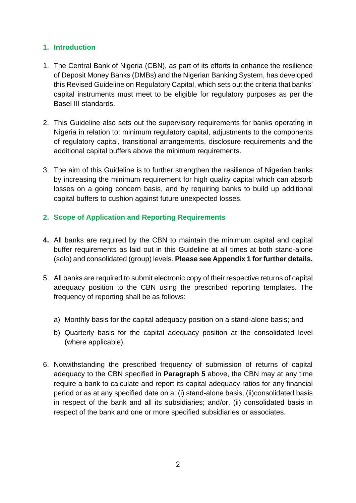## <span id="page-2-0"></span>**1. Introduction**

- 1. The Central Bank of Nigeria (CBN), as part of its efforts to enhance the resilience of Deposit Money Banks (DMBs) and the Nigerian Banking System, has developed this Revised Guideline on Regulatory Capital, which sets out the criteria that banks' capital instruments must meet to be eligible for regulatory purposes as per the Basel III standards.
- 2. This Guideline also sets out the supervisory requirements for banks operating in Nigeria in relation to: minimum regulatory capital, adjustments to the components of regulatory capital, transitional arrangements, disclosure requirements and the additional capital buffers above the minimum requirements.
- 3. The aim of this Guideline is to further strengthen the resilience of Nigerian banks by increasing the minimum requirement for high quality capital which can absorb losses on a going concern basis, and by requiring banks to build up additional capital buffers to cushion against future unexpected losses.

## <span id="page-2-1"></span>**2. Scope of Application and Reporting Requirements**

- **4.** All banks are required by the CBN to maintain the minimum capital and capital buffer requirements as laid out in this Guideline at all times at both stand-alone (solo) and consolidated (group) levels. **Please see Appendix 1 for further details.**
- <span id="page-2-2"></span>5. All banks are required to submit electronic copy of their respective returns of capital adequacy position to the CBN using the prescribed reporting templates. The frequency of reporting shall be as follows:
	- a) Monthly basis for the capital adequacy position on a stand-alone basis; and
	- b) Quarterly basis for the capital adequacy position at the consolidated level (where applicable).
- 6. Notwithstanding the prescribed frequency of submission of returns of capital adequacy to the CBN specified in **Paragraph [5](#page-2-2)** above, the CBN may at any time require a bank to calculate and report its capital adequacy ratios for any financial period or as at any specified date on a: (i) stand-alone basis, (ii)consolidated basis in respect of the bank and all its subsidiaries; and/or, (ii) consolidated basis in respect of the bank and one or more specified subsidiaries or associates.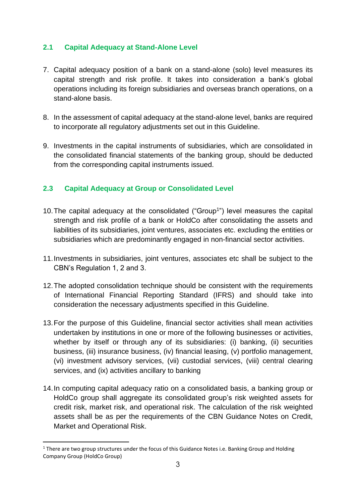## <span id="page-3-0"></span>**2.1 Capital Adequacy at Stand-Alone Level**

- 7. Capital adequacy position of a bank on a stand-alone (solo) level measures its capital strength and risk profile. It takes into consideration a bank's global operations including its foreign subsidiaries and overseas branch operations, on a stand-alone basis.
- 8. In the assessment of capital adequacy at the stand-alone level, banks are required to incorporate all regulatory adjustments set out in this Guideline.
- 9. Investments in the capital instruments of subsidiaries, which are consolidated in the consolidated financial statements of the banking group, should be deducted from the corresponding capital instruments issued.

## <span id="page-3-1"></span>**2.3 Capital Adequacy at Group or Consolidated Level**

- 10. The capital adequacy at the consolidated ("Group<sup>1</sup>") level measures the capital strength and risk profile of a bank or HoldCo after consolidating the assets and liabilities of its subsidiaries, joint ventures, associates etc. excluding the entities or subsidiaries which are predominantly engaged in non-financial sector activities.
- 11.Investments in subsidiaries, joint ventures, associates etc shall be subject to the CBN's Regulation 1, 2 and 3.
- 12.The adopted consolidation technique should be consistent with the requirements of International Financial Reporting Standard (IFRS) and should take into consideration the necessary adjustments specified in this Guideline.
- 13.For the purpose of this Guideline, financial sector activities shall mean activities undertaken by institutions in one or more of the following businesses or activities, whether by itself or through any of its subsidiaries: (i) banking, (ii) securities business, (iii) insurance business, (iv) financial leasing, (v) portfolio management, (vi) investment advisory services, (vii) custodial services, (viii) central clearing services, and (ix) activities ancillary to banking
- 14.In computing capital adequacy ratio on a consolidated basis, a banking group or HoldCo group shall aggregate its consolidated group's risk weighted assets for credit risk, market risk, and operational risk. The calculation of the risk weighted assets shall be as per the requirements of the CBN Guidance Notes on Credit, Market and Operational Risk.

<sup>&</sup>lt;sup>1</sup> There are two group structures under the focus of this Guidance Notes i.e. Banking Group and Holding Company Group (HoldCo Group)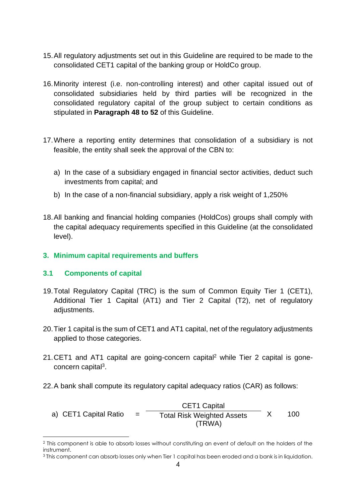- 15.All regulatory adjustments set out in this Guideline are required to be made to the consolidated CET1 capital of the banking group or HoldCo group.
- 16.Minority interest (i.e. non-controlling interest) and other capital issued out of consolidated subsidiaries held by third parties will be recognized in the consolidated regulatory capital of the group subject to certain conditions as stipulated in **Paragraph [48](#page-13-1) to [52](#page-14-1)** of this Guideline.
- 17.Where a reporting entity determines that consolidation of a subsidiary is not feasible, the entity shall seek the approval of the CBN to:
	- a) In the case of a subsidiary engaged in financial sector activities, deduct such investments from capital; and
	- b) In the case of a non-financial subsidiary, apply a risk weight of 1,250%
- 18.All banking and financial holding companies (HoldCos) groups shall comply with the capital adequacy requirements specified in this Guideline (at the consolidated level).

#### <span id="page-4-0"></span>**3. Minimum capital requirements and buffers**

#### <span id="page-4-1"></span>**3.1 Components of capital**

- 19.Total Regulatory Capital (TRC) is the sum of Common Equity Tier 1 (CET1), Additional Tier 1 Capital (AT1) and Tier 2 Capital (T2), net of regulatory adjustments.
- 20.Tier 1 capital is the sum of CET1 and AT1 capital, net of the regulatory adjustments applied to those categories.
- 21. CET1 and AT1 capital are going-concern capital<sup>2</sup> while Tier 2 capital is goneconcern capital<sup>3</sup>.
- 22.A bank shall compute its regulatory capital adequacy ratios (CAR) as follows:
	- a) CET1 Capital Ratio  $=$ CET1 Capital Total Risk Weighted Assets X 100 (TRWA)

<sup>2</sup> This component is able to absorb losses without constituting an event of default on the holders of the instrument.

<sup>3</sup> This component can absorb losses only when Tier 1 capital has been eroded and a bank is in liquidation.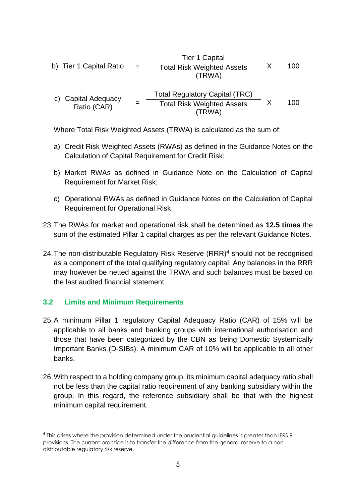b) Tier 1 Capital Ratio = Tier 1 Capital Total Risk Weighted Assets X 100 (TRWA) c) Capital Adequacy Ratio (CAR) <sup>=</sup> Total Regulatory Capital (TRC) Total Risk Weighted Assets X 100 (TRWA)

Where Total Risk Weighted Assets (TRWA) is calculated as the sum of:

- a) Credit Risk Weighted Assets (RWAs) as defined in the Guidance Notes on the Calculation of Capital Requirement for Credit Risk;
- b) Market RWAs as defined in Guidance Note on the Calculation of Capital Requirement for Market Risk;
- c) Operational RWAs as defined in Guidance Notes on the Calculation of Capital Requirement for Operational Risk.
- 23.The RWAs for market and operational risk shall be determined as **12.5 times** the sum of the estimated Pillar 1 capital charges as per the relevant Guidance Notes.
- 24. The non-distributable Regulatory Risk Reserve (RRR)<sup>4</sup> should not be recognised as a component of the total qualifying regulatory capital. Any balances in the RRR may however be netted against the TRWA and such balances must be based on the last audited financial statement.

#### <span id="page-5-0"></span>**3.2 Limits and Minimum Requirements**

- <span id="page-5-1"></span>25.A minimum Pillar 1 regulatory Capital Adequacy Ratio (CAR) of 15% will be applicable to all banks and banking groups with international authorisation and those that have been categorized by the CBN as being Domestic Systemically Important Banks (D-SIBs). A minimum CAR of 10% will be applicable to all other banks.
- 26.With respect to a holding company group, its minimum capital adequacy ratio shall not be less than the capital ratio requirement of any banking subsidiary within the group. In this regard, the reference subsidiary shall be that with the highest minimum capital requirement.

<sup>4</sup> This arises where the provision determined under the prudential guidelines is greater than IFRS 9 provisions. The current practice is to transfer the difference from the general reserve to a nondistributable regulatory risk reserve.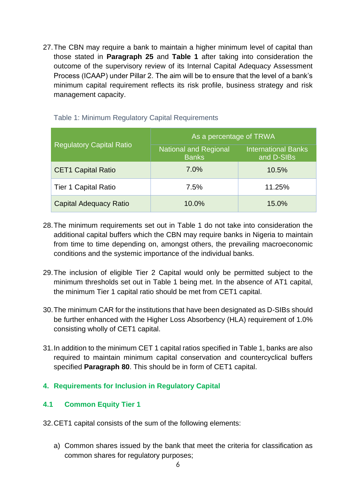27.The CBN may require a bank to maintain a higher minimum level of capital than those stated in **Paragraph [25](#page-5-1)** and **Table 1** after taking into consideration the outcome of the supervisory review of its Internal Capital Adequacy Assessment Process (ICAAP) under Pillar 2. The aim will be to ensure that the level of a bank's minimum capital requirement reflects its risk profile, business strategy and risk management capacity.

|                                 | As a percentage of TRWA                      |                                          |  |
|---------------------------------|----------------------------------------------|------------------------------------------|--|
| <b>Regulatory Capital Ratio</b> | <b>National and Regional</b><br><b>Banks</b> | <b>International Banks</b><br>and D-SIBs |  |
| <b>CET1 Capital Ratio</b>       | 7.0%                                         | 10.5%                                    |  |
| <b>Tier 1 Capital Ratio</b>     | 7.5%                                         | 11.25%                                   |  |
| <b>Capital Adequacy Ratio</b>   | 10.0%                                        | 15.0%                                    |  |

Table 1: Minimum Regulatory Capital Requirements

- 28.The minimum requirements set out in Table 1 do not take into consideration the additional capital buffers which the CBN may require banks in Nigeria to maintain from time to time depending on, amongst others, the prevailing macroeconomic conditions and the systemic importance of the individual banks.
- 29.The inclusion of eligible Tier 2 Capital would only be permitted subject to the minimum thresholds set out in Table 1 being met. In the absence of AT1 capital, the minimum Tier 1 capital ratio should be met from CET1 capital.
- 30.The minimum CAR for the institutions that have been designated as D-SIBs should be further enhanced with the Higher Loss Absorbency (HLA) requirement of 1.0% consisting wholly of CET1 capital.
- 31.In addition to the minimum CET 1 capital ratios specified in Table 1, banks are also required to maintain minimum capital conservation and countercyclical buffers specified **Paragraph [80](#page-18-2)**. This should be in form of CET1 capital.

## <span id="page-6-0"></span>**4. Requirements for Inclusion in Regulatory Capital**

## <span id="page-6-1"></span>**4.1 Common Equity Tier 1**

32.CET1 capital consists of the sum of the following elements:

a) Common shares issued by the bank that meet the criteria for classification as common shares for regulatory purposes;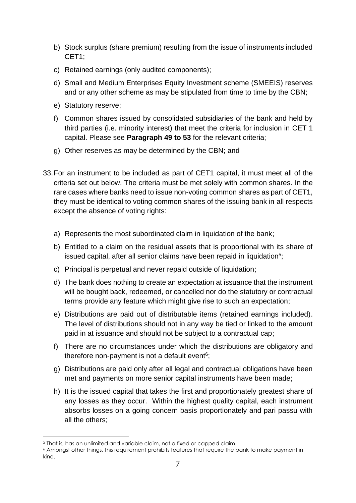- b) Stock surplus (share premium) resulting from the issue of instruments included CET1;
- c) Retained earnings (only audited components);
- d) Small and Medium Enterprises Equity Investment scheme (SMEEIS) reserves and or any other scheme as may be stipulated from time to time by the CBN;
- e) Statutory reserve;
- f) Common shares issued by consolidated subsidiaries of the bank and held by third parties (i.e. minority interest) that meet the criteria for inclusion in CET 1 capital. Please see **Paragraph 49 to 53** for the relevant criteria;
- g) Other reserves as may be determined by the CBN; and
- 33.For an instrument to be included as part of CET1 capital, it must meet all of the criteria set out below. The criteria must be met solely with common shares. In the rare cases where banks need to issue non-voting common shares as part of CET1, they must be identical to voting common shares of the issuing bank in all respects except the absence of voting rights:
	- a) Represents the most subordinated claim in liquidation of the bank;
	- b) Entitled to a claim on the residual assets that is proportional with its share of issued capital, after all senior claims have been repaid in liquidation<sup>5</sup>;
	- c) Principal is perpetual and never repaid outside of liquidation;
	- d) The bank does nothing to create an expectation at issuance that the instrument will be bought back, redeemed, or cancelled nor do the statutory or contractual terms provide any feature which might give rise to such an expectation;
	- e) Distributions are paid out of distributable items (retained earnings included). The level of distributions should not in any way be tied or linked to the amount paid in at issuance and should not be subject to a contractual cap;
	- f) There are no circumstances under which the distributions are obligatory and therefore non-payment is not a default event<sup>6</sup>;
	- g) Distributions are paid only after all legal and contractual obligations have been met and payments on more senior capital instruments have been made;
	- h) It is the issued capital that takes the first and proportionately greatest share of any losses as they occur. Within the highest quality capital, each instrument absorbs losses on a going concern basis proportionately and pari passu with all the others;

<sup>&</sup>lt;sup>5</sup> That is, has an unlimited and variable claim, not a fixed or capped claim.

<sup>6</sup> Amongst other things, this requirement prohibits features that require the bank to make payment in kind.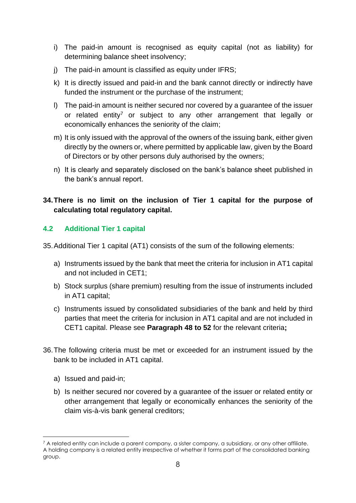- i) The paid-in amount is recognised as equity capital (not as liability) for determining balance sheet insolvency;
- i) The paid-in amount is classified as equity under IFRS:
- k) It is directly issued and paid-in and the bank cannot directly or indirectly have funded the instrument or the purchase of the instrument;
- l) The paid-in amount is neither secured nor covered by a guarantee of the issuer or related entity<sup>7</sup> or subject to any other arrangement that legally or economically enhances the seniority of the claim;
- m) It is only issued with the approval of the owners of the issuing bank, either given directly by the owners or, where permitted by applicable law, given by the Board of Directors or by other persons duly authorised by the owners;
- n) It is clearly and separately disclosed on the bank's balance sheet published in the bank's annual report.

## **34.There is no limit on the inclusion of Tier 1 capital for the purpose of calculating total regulatory capital.**

## <span id="page-8-0"></span>**4.2 Additional Tier 1 capital**

35.Additional Tier 1 capital (AT1) consists of the sum of the following elements:

- a) Instruments issued by the bank that meet the criteria for inclusion in AT1 capital and not included in CET1;
- b) Stock surplus (share premium) resulting from the issue of instruments included in AT1 capital;
- c) Instruments issued by consolidated subsidiaries of the bank and held by third parties that meet the criteria for inclusion in AT1 capital and are not included in CET1 capital. Please see **Paragraph [48](#page-13-1) to [52](#page-14-1)** for the relevant criteria**;**
- <span id="page-8-2"></span><span id="page-8-1"></span>36.The following criteria must be met or exceeded for an instrument issued by the bank to be included in AT1 capital.
	- a) Issued and paid-in;
	- b) Is neither secured nor covered by a guarantee of the issuer or related entity or other arrangement that legally or economically enhances the seniority of the claim vis-à-vis bank general creditors;

 $7$  A related entity can include a parent company, a sister company, a subsidiary, or any other affiliate. A holding company is a related entity irrespective of whether it forms part of the consolidated banking group.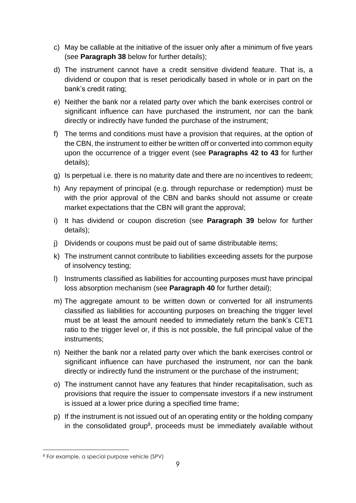- c) May be callable at the initiative of the issuer only after a minimum of five years (see **Paragraph [38](#page-10-0)** below for further details);
- d) The instrument cannot have a credit sensitive dividend feature. That is, a dividend or coupon that is reset periodically based in whole or in part on the bank's credit rating;
- e) Neither the bank nor a related party over which the bank exercises control or significant influence can have purchased the instrument, nor can the bank directly or indirectly have funded the purchase of the instrument;
- f) The terms and conditions must have a provision that requires, at the option of the CBN, the instrument to either be written off or converted into common equity upon the occurrence of a trigger event (see **Paragraphs [42](#page-11-0) to [43](#page-11-1)** for further details);
- g) Is perpetual i.e. there is no maturity date and there are no incentives to redeem;
- h) Any repayment of principal (e.g. through repurchase or redemption) must be with the prior approval of the CBN and banks should not assume or create market expectations that the CBN will grant the approval;
- i) It has dividend or coupon discretion (see **Paragraph [39](#page-10-1)** below for further details);
- j) Dividends or coupons must be paid out of same distributable items;
- k) The instrument cannot contribute to liabilities exceeding assets for the purpose of insolvency testing;
- l) Instruments classified as liabilities for accounting purposes must have principal loss absorption mechanism (see **Paragraph [40](#page-10-2)** for further detail);
- m) The aggregate amount to be written down or converted for all instruments classified as liabilities for accounting purposes on breaching the trigger level must be at least the amount needed to immediately return the bank's CET1 ratio to the trigger level or, if this is not possible, the full principal value of the instruments;
- n) Neither the bank nor a related party over which the bank exercises control or significant influence can have purchased the instrument, nor can the bank directly or indirectly fund the instrument or the purchase of the instrument;
- o) The instrument cannot have any features that hinder recapitalisation, such as provisions that require the issuer to compensate investors if a new instrument is issued at a lower price during a specified time frame;
- p) If the instrument is not issued out of an operating entity or the holding company in the consolidated group<sup>8</sup>, proceeds must be immediately available without

<sup>8</sup> For example, a special purpose vehicle (SPV)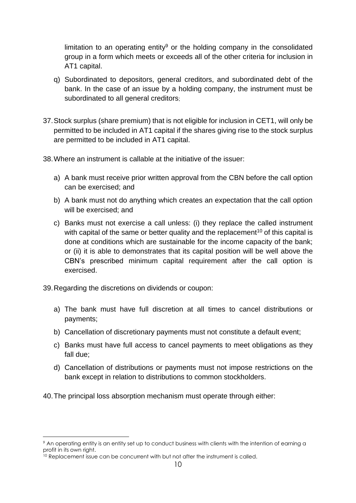limitation to an operating entity<sup>9</sup> or the holding company in the consolidated group in a form which meets or exceeds all of the other criteria for inclusion in AT1 capital.

- q) Subordinated to depositors, general creditors, and subordinated debt of the bank. In the case of an issue by a holding company, the instrument must be subordinated to all general creditors;
- 37.Stock surplus (share premium) that is not eligible for inclusion in CET1, will only be permitted to be included in AT1 capital if the shares giving rise to the stock surplus are permitted to be included in AT1 capital.
- <span id="page-10-0"></span>38.Where an instrument is callable at the initiative of the issuer:
	- a) A bank must receive prior written approval from the CBN before the call option can be exercised; and
	- b) A bank must not do anything which creates an expectation that the call option will be exercised; and
	- c) Banks must not exercise a call unless: (i) they replace the called instrument with capital of the same or better quality and the replacement<sup>10</sup> of this capital is done at conditions which are sustainable for the income capacity of the bank; or (ii) it is able to demonstrates that its capital position will be well above the CBN's prescribed minimum capital requirement after the call option is exercised.

<span id="page-10-1"></span>39.Regarding the discretions on dividends or coupon:

- a) The bank must have full discretion at all times to cancel distributions or payments;
- b) Cancellation of discretionary payments must not constitute a default event;
- c) Banks must have full access to cancel payments to meet obligations as they fall due;
- d) Cancellation of distributions or payments must not impose restrictions on the bank except in relation to distributions to common stockholders.
- <span id="page-10-2"></span>40.The principal loss absorption mechanism must operate through either:

<sup>9</sup> An operating entity is an entity set up to conduct business with clients with the intention of earning a profit in its own right.

<sup>&</sup>lt;sup>10</sup> Replacement issue can be concurrent with but not after the instrument is called.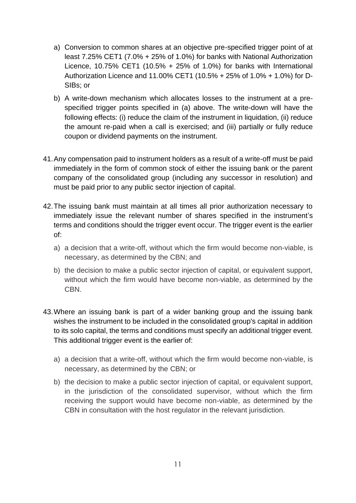- a) Conversion to common shares at an objective pre-specified trigger point of at least 7.25% CET1 (7.0% + 25% of 1.0%) for banks with National Authorization Licence, 10.75% CET1 (10.5%  $+$  25% of 1.0%) for banks with International Authorization Licence and 11.00% CET1 (10.5% + 25% of 1.0% + 1.0%) for D-SIBs; or
- b) A write-down mechanism which allocates losses to the instrument at a prespecified trigger points specified in (a) above. The write-down will have the following effects: (i) reduce the claim of the instrument in liquidation, (ii) reduce the amount re-paid when a call is exercised; and (iii) partially or fully reduce coupon or dividend payments on the instrument.
- 41.Any compensation paid to instrument holders as a result of a write-off must be paid immediately in the form of common stock of either the issuing bank or the parent company of the consolidated group (including any successor in resolution) and must be paid prior to any public sector injection of capital.
- <span id="page-11-0"></span>42.The issuing bank must maintain at all times all prior authorization necessary to immediately issue the relevant number of shares specified in the instrument's terms and conditions should the trigger event occur. The trigger event is the earlier of:
	- a) a decision that a write-off, without which the firm would become non-viable, is necessary, as determined by the CBN; and
	- b) the decision to make a public sector injection of capital, or equivalent support, without which the firm would have become non-viable, as determined by the CBN.
- <span id="page-11-1"></span>43.Where an issuing bank is part of a wider banking group and the issuing bank wishes the instrument to be included in the consolidated group's capital in addition to its solo capital, the terms and conditions must specify an additional trigger event. This additional trigger event is the earlier of:
	- a) a decision that a write-off, without which the firm would become non-viable, is necessary, as determined by the CBN; or
	- b) the decision to make a public sector injection of capital, or equivalent support, in the jurisdiction of the consolidated supervisor, without which the firm receiving the support would have become non-viable, as determined by the CBN in consultation with the host regulator in the relevant jurisdiction.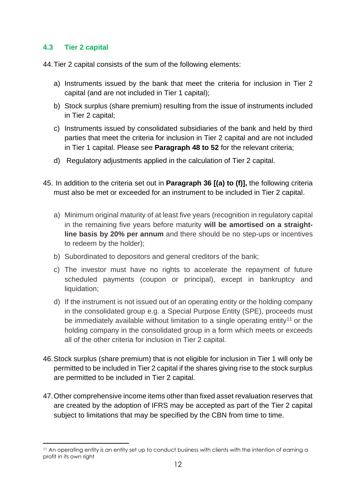#### <span id="page-12-0"></span>**4.3 Tier 2 capital**

44.Tier 2 capital consists of the sum of the following elements:

- a) Instruments issued by the bank that meet the criteria for inclusion in Tier 2 capital (and are not included in Tier 1 capital);
- b) Stock surplus (share premium) resulting from the issue of instruments included in Tier 2 capital;
- c) Instruments issued by consolidated subsidiaries of the bank and held by third parties that meet the criteria for inclusion in Tier 2 capital and are not included in Tier 1 capital. Please see **Paragraph [48](#page-13-1) to [52](#page-14-1)** for the relevant criteria;
- d) Regulatory adjustments applied in the calculation of Tier 2 capital.
- 45. In addition to the criteria set out in **Paragraph [36](#page-8-1) [[\(a\)](#page-8-2) to (f)],** the following criteria must also be met or exceeded for an instrument to be included in Tier 2 capital.
	- a) Minimum original maturity of at least five years (recognition in regulatory capital in the remaining five years before maturity **will be amortised on a straightline basis by 20% per annum** and there should be no step-ups or incentives to redeem by the holder);
	- b) Subordinated to depositors and general creditors of the bank;
	- c) The investor must have no rights to accelerate the repayment of future scheduled payments (coupon or principal), except in bankruptcy and liquidation;
	- d) If the instrument is not issued out of an operating entity or the holding company in the consolidated group e.g. a Special Purpose Entity (SPE), proceeds must be immediately available without limitation to a single operating entity<sup>11</sup> or the holding company in the consolidated group in a form which meets or exceeds all of the other criteria for inclusion in Tier 2 capital.
- 46.Stock surplus (share premium) that is not eligible for inclusion in Tier 1 will only be permitted to be included in Tier 2 capital if the shares giving rise to the stock surplus are permitted to be included in Tier 2 capital.
- 47.Other comprehensive income items other than fixed asset revaluation reserves that are created by the adoption of IFRS may be accepted as part of the Tier 2 capital subject to limitations that may be specified by the CBN from time to time.

<sup>&</sup>lt;sup>11</sup> An operating entity is an entity set up to conduct business with clients with the intention of earning a profit in its own right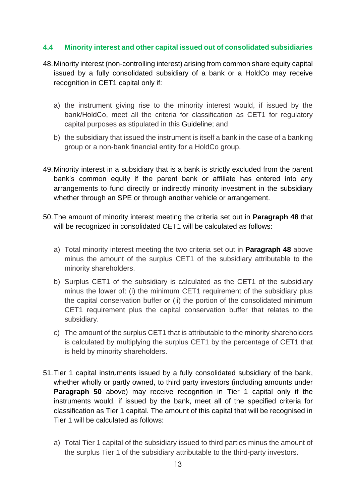#### <span id="page-13-0"></span>**4.4 Minority interest and other capital issued out of consolidated subsidiaries**

- <span id="page-13-1"></span>48.Minority interest (non-controlling interest) arising from common share equity capital issued by a fully consolidated subsidiary of a bank or a HoldCo may receive recognition in CET1 capital only if:
	- a) the instrument giving rise to the minority interest would, if issued by the bank/HoldCo, meet all the criteria for classification as CET1 for regulatory capital purposes as stipulated in this Guideline; and
	- b) the subsidiary that issued the instrument is itself a bank in the case of a banking group or a non-bank financial entity for a HoldCo group.
- 49.Minority interest in a subsidiary that is a bank is strictly excluded from the parent bank's common equity if the parent bank or affiliate has entered into any arrangements to fund directly or indirectly minority investment in the subsidiary whether through an SPE or through another vehicle or arrangement.
- <span id="page-13-2"></span>50.The amount of minority interest meeting the criteria set out in **Paragraph [48](#page-13-1)** that will be recognized in consolidated CET1 will be calculated as follows:
	- a) Total minority interest meeting the two criteria set out in **Paragraph [48](#page-13-1)** above minus the amount of the surplus CET1 of the subsidiary attributable to the minority shareholders.
	- b) Surplus CET1 of the subsidiary is calculated as the CET1 of the subsidiary minus the lower of: (i) the minimum CET1 requirement of the subsidiary plus the capital conservation buffer or (ii) the portion of the consolidated minimum CET1 requirement plus the capital conservation buffer that relates to the subsidiary.
	- c) The amount of the surplus CET1 that is attributable to the minority shareholders is calculated by multiplying the surplus CET1 by the percentage of CET1 that is held by minority shareholders.
- <span id="page-13-3"></span>51.Tier 1 capital instruments issued by a fully consolidated subsidiary of the bank, whether wholly or partly owned, to third party investors (including amounts under **Paragraph [50](#page-13-2)** above) may receive recognition in Tier 1 capital only if the instruments would, if issued by the bank, meet all of the specified criteria for classification as Tier 1 capital. The amount of this capital that will be recognised in Tier 1 will be calculated as follows:
	- a) Total Tier 1 capital of the subsidiary issued to third parties minus the amount of the surplus Tier 1 of the subsidiary attributable to the third-party investors.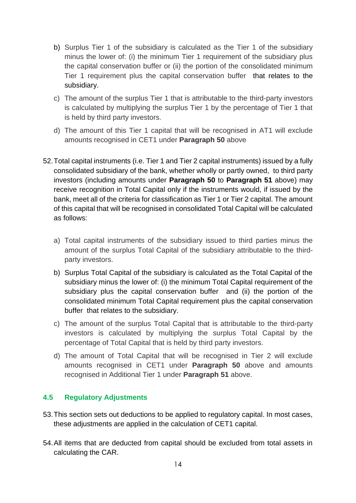- b) Surplus Tier 1 of the subsidiary is calculated as the Tier 1 of the subsidiary minus the lower of: (i) the minimum Tier 1 requirement of the subsidiary plus the capital conservation buffer or (ii) the portion of the consolidated minimum Tier 1 requirement plus the capital conservation buffer that relates to the subsidiary.
- c) The amount of the surplus Tier 1 that is attributable to the third-party investors is calculated by multiplying the surplus Tier 1 by the percentage of Tier 1 that is held by third party investors.
- d) The amount of this Tier 1 capital that will be recognised in AT1 will exclude amounts recognised in CET1 under **Paragraph [50](#page-13-2)** above
- <span id="page-14-1"></span>52.Total capital instruments (i.e. Tier 1 and Tier 2 capital instruments) issued by a fully consolidated subsidiary of the bank, whether wholly or partly owned, to third party investors (including amounts under **Paragraph [50](#page-13-2)** to **Paragraph [51](#page-13-3)** above) may receive recognition in Total Capital only if the instruments would, if issued by the bank, meet all of the criteria for classification as Tier 1 or Tier 2 capital. The amount of this capital that will be recognised in consolidated Total Capital will be calculated as follows:
	- a) Total capital instruments of the subsidiary issued to third parties minus the amount of the surplus Total Capital of the subsidiary attributable to the thirdparty investors.
	- b) Surplus Total Capital of the subsidiary is calculated as the Total Capital of the subsidiary minus the lower of: (i) the minimum Total Capital requirement of the subsidiary plus the capital conservation buffer and (ii) the portion of the consolidated minimum Total Capital requirement plus the capital conservation buffer that relates to the subsidiary.
	- c) The amount of the surplus Total Capital that is attributable to the third-party investors is calculated by multiplying the surplus Total Capital by the percentage of Total Capital that is held by third party investors.
	- d) The amount of Total Capital that will be recognised in Tier 2 will exclude amounts recognised in CET1 under **Paragraph [50](#page-13-2)** above and amounts recognised in Additional Tier 1 under **Paragraph [51](#page-13-3)** above.

## <span id="page-14-0"></span>**4.5 Regulatory Adjustments**

- 53.This section sets out deductions to be applied to regulatory capital. In most cases, these adjustments are applied in the calculation of CET1 capital.
- 54.All items that are deducted from capital should be excluded from total assets in calculating the CAR.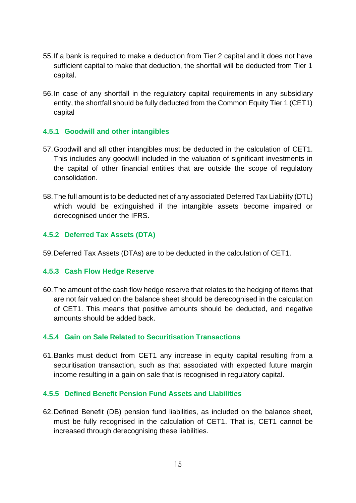- 55.If a bank is required to make a deduction from Tier 2 capital and it does not have sufficient capital to make that deduction, the shortfall will be deducted from Tier 1 capital.
- 56.In case of any shortfall in the regulatory capital requirements in any subsidiary entity, the shortfall should be fully deducted from the Common Equity Tier 1 (CET1) capital

#### **4.5.1 Goodwill and other intangibles**

- 57.Goodwill and all other intangibles must be deducted in the calculation of CET1. This includes any goodwill included in the valuation of significant investments in the capital of other financial entities that are outside the scope of regulatory consolidation.
- 58.The full amount is to be deducted net of any associated Deferred Tax Liability (DTL) which would be extinguished if the intangible assets become impaired or derecognised under the IFRS.

#### **4.5.2 Deferred Tax Assets (DTA)**

59.Deferred Tax Assets (DTAs) are to be deducted in the calculation of CET1.

#### **4.5.3 Cash Flow Hedge Reserve**

60.The amount of the cash flow hedge reserve that relates to the hedging of items that are not fair valued on the balance sheet should be derecognised in the calculation of CET1. This means that positive amounts should be deducted, and negative amounts should be added back.

#### **4.5.4 Gain on Sale Related to Securitisation Transactions**

61.Banks must deduct from CET1 any increase in equity capital resulting from a securitisation transaction, such as that associated with expected future margin income resulting in a gain on sale that is recognised in regulatory capital.

#### **4.5.5 Defined Benefit Pension Fund Assets and Liabilities**

62.Defined Benefit (DB) pension fund liabilities, as included on the balance sheet, must be fully recognised in the calculation of CET1. That is, CET1 cannot be increased through derecognising these liabilities.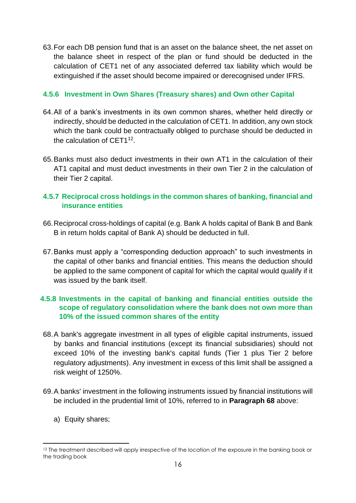63.For each DB pension fund that is an asset on the balance sheet, the net asset on the balance sheet in respect of the plan or fund should be deducted in the calculation of CET1 net of any associated deferred tax liability which would be extinguished if the asset should become impaired or derecognised under IFRS.

## **4.5.6 Investment in Own Shares (Treasury shares) and Own other Capital**

- 64.All of a bank's investments in its own common shares, whether held directly or indirectly, should be deducted in the calculation of CET1. In addition, any own stock which the bank could be contractually obliged to purchase should be deducted in the calculation of CET1 $12$ .
- 65.Banks must also deduct investments in their own AT1 in the calculation of their AT1 capital and must deduct investments in their own Tier 2 in the calculation of their Tier 2 capital.

## **4.5.7 Reciprocal cross holdings in the common shares of banking, financial and insurance entities**

- 66.Reciprocal cross-holdings of capital (e.g. Bank A holds capital of Bank B and Bank B in return holds capital of Bank A) should be deducted in full.
- 67.Banks must apply a "corresponding deduction approach" to such investments in the capital of other banks and financial entities. This means the deduction should be applied to the same component of capital for which the capital would qualify if it was issued by the bank itself.

## **4.5.8 Investments in the capital of banking and financial entities outside the scope of regulatory consolidation where the bank does not own more than 10% of the issued common shares of the entity**

- <span id="page-16-0"></span>68.A bank's aggregate investment in all types of eligible capital instruments, issued by banks and financial institutions (except its financial subsidiaries) should not exceed 10% of the investing bank's capital funds (Tier 1 plus Tier 2 before regulatory adjustments). Any investment in excess of this limit shall be assigned a risk weight of 1250%.
- 69.A banks' investment in the following instruments issued by financial institutions will be included in the prudential limit of 10%, referred to in **Paragraph [68](#page-16-0)** above:
	- a) Equity shares;

<sup>&</sup>lt;sup>12</sup> The treatment described will apply irrespective of the location of the exposure in the banking book or the trading book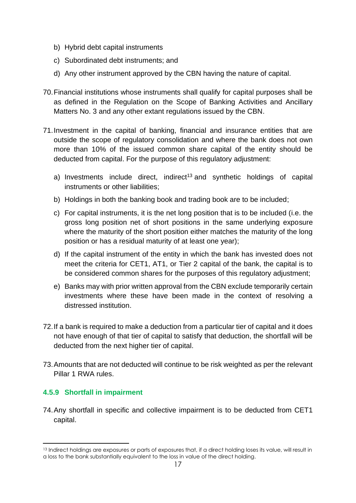- b) Hybrid debt capital instruments
- c) Subordinated debt instruments; and
- d) Any other instrument approved by the CBN having the nature of capital.
- 70.Financial institutions whose instruments shall qualify for capital purposes shall be as defined in the Regulation on the Scope of Banking Activities and Ancillary Matters No. 3 and any other extant regulations issued by the CBN.
- 71.Investment in the capital of banking, financial and insurance entities that are outside the scope of regulatory consolidation and where the bank does not own more than 10% of the issued common share capital of the entity should be deducted from capital. For the purpose of this regulatory adjustment:
	- a) Investments include direct, indirect<sup>13</sup> and synthetic holdings of capital instruments or other liabilities;
	- b) Holdings in both the banking book and trading book are to be included;
	- c) For capital instruments, it is the net long position that is to be included (i.e. the gross long position net of short positions in the same underlying exposure where the maturity of the short position either matches the maturity of the long position or has a residual maturity of at least one year);
	- d) If the capital instrument of the entity in which the bank has invested does not meet the criteria for CET1, AT1, or Tier 2 capital of the bank, the capital is to be considered common shares for the purposes of this regulatory adjustment;
	- e) Banks may with prior written approval from the CBN exclude temporarily certain investments where these have been made in the context of resolving a distressed institution.
- 72.If a bank is required to make a deduction from a particular tier of capital and it does not have enough of that tier of capital to satisfy that deduction, the shortfall will be deducted from the next higher tier of capital.
- 73.Amounts that are not deducted will continue to be risk weighted as per the relevant Pillar 1 RWA rules.

## **4.5.9 Shortfall in impairment**

74.Any shortfall in specific and collective impairment is to be deducted from CET1 capital.

<sup>&</sup>lt;sup>13</sup> Indirect holdings are exposures or parts of exposures that, if a direct holding loses its value, will result in a loss to the bank substantially equivalent to the loss in value of the direct holding.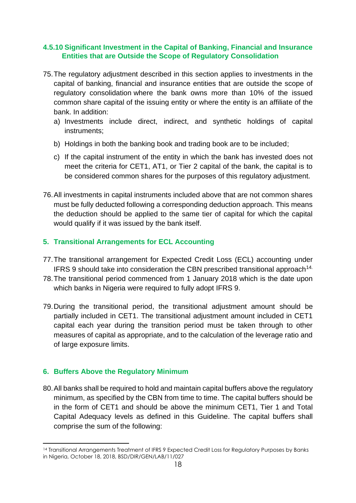## **4.5.10 Significant Investment in the Capital of Banking, Financial and Insurance Entities that are Outside the Scope of Regulatory Consolidation**

- 75.The regulatory adjustment described in this section applies to investments in the capital of banking, financial and insurance entities that are outside the scope of regulatory consolidation where the bank owns more than 10% of the issued common share capital of the issuing entity or where the entity is an affiliate of the bank. In addition:
	- a) Investments include direct, indirect, and synthetic holdings of capital instruments;
	- b) Holdings in both the banking book and trading book are to be included;
	- c) If the capital instrument of the entity in which the bank has invested does not meet the criteria for CET1, AT1, or Tier 2 capital of the bank, the capital is to be considered common shares for the purposes of this regulatory adjustment.
- 76.All investments in capital instruments included above that are not common shares must be fully deducted following a corresponding deduction approach. This means the deduction should be applied to the same tier of capital for which the capital would qualify if it was issued by the bank itself.

## <span id="page-18-0"></span>**5. Transitional Arrangements for ECL Accounting**

- 77.The transitional arrangement for Expected Credit Loss (ECL) accounting under IFRS 9 should take into consideration the CBN prescribed transitional approach<sup>14.</sup>
- 78.The transitional period commenced from 1 January 2018 which is the date upon which banks in Nigeria were required to fully adopt IFRS 9.
- 79.During the transitional period, the transitional adjustment amount should be partially included in CET1. The transitional adjustment amount included in CET1 capital each year during the transition period must be taken through to other measures of capital as appropriate, and to the calculation of the leverage ratio and of large exposure limits.

## <span id="page-18-1"></span>**6. Buffers Above the Regulatory Minimum**

<span id="page-18-2"></span>80.All banks shall be required to hold and maintain capital buffers above the regulatory minimum, as specified by the CBN from time to time. The capital buffers should be in the form of CET1 and should be above the minimum CET1, Tier 1 and Total Capital Adequacy levels as defined in this Guideline. The capital buffers shall comprise the sum of the following:

<sup>14</sup> Transitional Arrangements Treatment of IFRS 9 Expected Credit Loss for Regulatory Purposes by Banks in Nigeria, October 18, 2018, BSD/DIR/GEN/LAB/11/027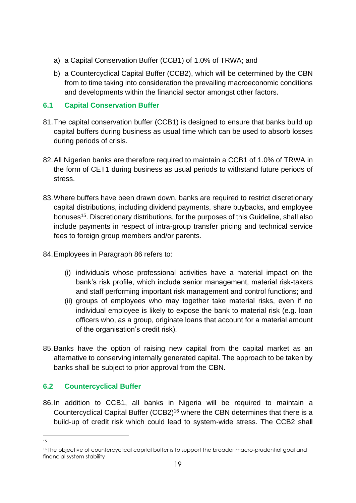- a) a Capital Conservation Buffer (CCB1) of 1.0% of TRWA; and
- b) a Countercyclical Capital Buffer (CCB2), which will be determined by the CBN from to time taking into consideration the prevailing macroeconomic conditions and developments within the financial sector amongst other factors.

## <span id="page-19-0"></span>**6.1 Capital Conservation Buffer**

- 81.The capital conservation buffer (CCB1) is designed to ensure that banks build up capital buffers during business as usual time which can be used to absorb losses during periods of crisis.
- 82.All Nigerian banks are therefore required to maintain a CCB1 of 1.0% of TRWA in the form of CET1 during business as usual periods to withstand future periods of stress.
- 83.Where buffers have been drawn down, banks are required to restrict discretionary capital distributions, including dividend payments, share buybacks, and employee bonuses<sup>15</sup>. Discretionary distributions, for the purposes of this Guideline, shall also include payments in respect of intra-group transfer pricing and technical service fees to foreign group members and/or parents.
- 84.Employees in Paragraph 86 refers to:
	- (i) individuals whose professional activities have a material impact on the bank's risk profile, which include senior management, material risk-takers and staff performing important risk management and control functions; and
	- (ii) groups of employees who may together take material risks, even if no individual employee is likely to expose the bank to material risk (e.g. loan officers who, as a group, originate loans that account for a material amount of the organisation's credit risk).
- 85.Banks have the option of raising new capital from the capital market as an alternative to conserving internally generated capital. The approach to be taken by banks shall be subject to prior approval from the CBN.

## <span id="page-19-1"></span>**6.2 Countercyclical Buffer**

86.In addition to CCB1, all banks in Nigeria will be required to maintain a Countercyclical Capital Buffer (CCB2)<sup>16</sup> where the CBN determines that there is a build-up of credit risk which could lead to system-wide stress. The CCB2 shall

<sup>15</sup>

<sup>&</sup>lt;sup>16</sup> The objective of countercyclical capital buffer is to support the broader macro-prudential goal and financial system stability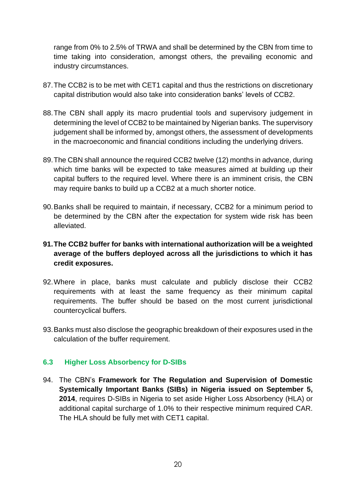range from 0% to 2.5% of TRWA and shall be determined by the CBN from time to time taking into consideration, amongst others, the prevailing economic and industry circumstances.

- 87.The CCB2 is to be met with CET1 capital and thus the restrictions on discretionary capital distribution would also take into consideration banks' levels of CCB2.
- 88.The CBN shall apply its macro prudential tools and supervisory judgement in determining the level of CCB2 to be maintained by Nigerian banks. The supervisory judgement shall be informed by, amongst others, the assessment of developments in the macroeconomic and financial conditions including the underlying drivers.
- 89.The CBN shall announce the required CCB2 twelve (12) months in advance, during which time banks will be expected to take measures aimed at building up their capital buffers to the required level. Where there is an imminent crisis, the CBN may require banks to build up a CCB2 at a much shorter notice.
- 90.Banks shall be required to maintain, if necessary, CCB2 for a minimum period to be determined by the CBN after the expectation for system wide risk has been alleviated.

## **91.The CCB2 buffer for banks with international authorization will be a weighted average of the buffers deployed across all the jurisdictions to which it has credit exposures.**

- 92.Where in place, banks must calculate and publicly disclose their CCB2 requirements with at least the same frequency as their minimum capital requirements. The buffer should be based on the most current jurisdictional countercyclical buffers.
- 93.Banks must also disclose the geographic breakdown of their exposures used in the calculation of the buffer requirement.

## <span id="page-20-0"></span>**6.3 Higher Loss Absorbency for D-SIBs**

94. The CBN's **Framework for The Regulation and Supervision of Domestic Systemically Important Banks (SIBs) in Nigeria issued on September 5, 2014**, requires D-SIBs in Nigeria to set aside Higher Loss Absorbency (HLA) or additional capital surcharge of 1.0% to their respective minimum required CAR. The HLA should be fully met with CET1 capital.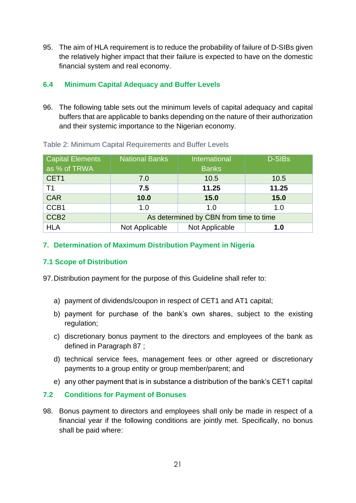95. The aim of HLA requirement is to reduce the probability of failure of D-SIBs given the relatively higher impact that their failure is expected to have on the domestic financial system and real economy.

## <span id="page-21-0"></span>**6.4 Minimum Capital Adequacy and Buffer Levels**

96. The following table sets out the minimum levels of capital adequacy and capital buffers that are applicable to banks depending on the nature of their authorization and their systemic importance to the Nigerian economy.

| <b>Capital Elements</b> | <b>National Banks</b> | International                          | <b>D-SIBs</b> |
|-------------------------|-----------------------|----------------------------------------|---------------|
| as % of TRWA            |                       | <b>Banks</b>                           |               |
| CET1                    | 7.0                   | 10.5                                   | 10.5          |
| T1                      | 7.5                   | 11.25                                  | 11.25         |
| <b>CAR</b>              | 10.0                  | 15.0                                   | 15.0          |
| CCB1                    | 1.0                   | 1.0                                    | 1.0           |
| CCB <sub>2</sub>        |                       | As determined by CBN from time to time |               |
| <b>HLA</b>              | Not Applicable        | Not Applicable                         | 1.0           |

#### Table 2: Minimum Capital Requirements and Buffer Levels

#### <span id="page-21-1"></span>**7. Determination of Maximum Distribution Payment in Nigeria**

## **7.1 Scope of Distribution**

97.Distribution payment for the purpose of this Guideline shall refer to:

- a) payment of dividends/coupon in respect of CET1 and AT1 capital;
- b) payment for purchase of the bank's own shares, subject to the existing regulation;
- c) discretionary bonus payment to the directors and employees of the bank as defined in Paragraph 87 ;
- d) technical service fees, management fees or other agreed or discretionary payments to a group entity or group member/parent; and
- e) any other payment that is in substance a distribution of the bank's CET1 capital

## **7.2 Conditions for Payment of Bonuses**

98. Bonus payment to directors and employees shall only be made in respect of a financial year if the following conditions are jointly met. Specifically, no bonus shall be paid where: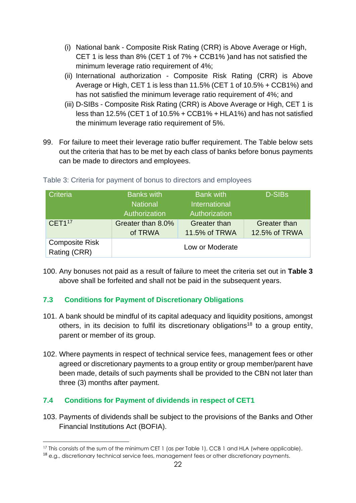- (i) National bank Composite Risk Rating (CRR) is Above Average or High, CET 1 is less than 8% (CET 1 of 7% + CCB1% )and has not satisfied the minimum leverage ratio requirement of 4%;
- (ii) International authorization Composite Risk Rating (CRR) is Above Average or High, CET 1 is less than 11.5% (CET 1 of 10.5% + CCB1%) and has not satisfied the minimum leverage ratio requirement of 4%; and
- (iii) D-SIBs Composite Risk Rating (CRR) is Above Average or High, CET 1 is less than 12.5% (CET 1 of 10.5% + CCB1% + HLA1%) and has not satisfied the minimum leverage ratio requirement of 5%.
- 99. For failure to meet their leverage ratio buffer requirement. The Table below sets out the criteria that has to be met by each class of banks before bonus payments can be made to directors and employees.

| Criteria                              | <b>Banks with</b><br><b>National</b><br>Authorization | <b>Bank with</b><br>International<br>Authorization | <b>D-SIBs</b>                 |
|---------------------------------------|-------------------------------------------------------|----------------------------------------------------|-------------------------------|
| CET1 <sup>17</sup>                    | Greater than 8.0%<br>of TRWA                          | <b>Greater than</b><br>11.5% of TRWA               | Greater than<br>12.5% of TRWA |
| <b>Composite Risk</b><br>Rating (CRR) |                                                       |                                                    |                               |

Table 3: Criteria for payment of bonus to directors and employees

100. Any bonuses not paid as a result of failure to meet the criteria set out in **Table 3** above shall be forfeited and shall not be paid in the subsequent years.

## **7.3 Conditions for Payment of Discretionary Obligations**

- 101. A bank should be mindful of its capital adequacy and liquidity positions, amongst others, in its decision to fulfil its discretionary obligations<sup>18</sup> to a group entity, parent or member of its group.
- 102. Where payments in respect of technical service fees, management fees or other agreed or discretionary payments to a group entity or group member/parent have been made, details of such payments shall be provided to the CBN not later than three (3) months after payment.

## **7.4 Conditions for Payment of dividends in respect of CET1**

103. Payments of dividends shall be subject to the provisions of the Banks and Other Financial Institutions Act (BOFIA).

<sup>&</sup>lt;sup>17</sup> This consists of the sum of the minimum CET 1 (as per Table 1), CCB 1 and HLA (where applicable).

<sup>&</sup>lt;sup>18</sup> e.g., discretionary technical service fees, management fees or other discretionary payments.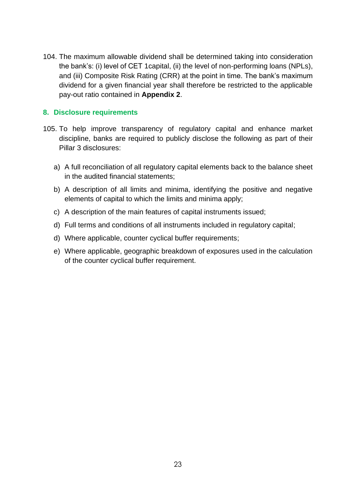104. The maximum allowable dividend shall be determined taking into consideration the bank's: (i) level of CET 1capital, (ii) the level of non-performing loans (NPLs), and (iii) Composite Risk Rating (CRR) at the point in time. The bank's maximum dividend for a given financial year shall therefore be restricted to the applicable pay-out ratio contained in **Appendix 2**.

#### <span id="page-23-0"></span>**8. Disclosure requirements**

- 105. To help improve transparency of regulatory capital and enhance market discipline, banks are required to publicly disclose the following as part of their Pillar 3 disclosures:
	- a) A full reconciliation of all regulatory capital elements back to the balance sheet in the audited financial statements;
	- b) A description of all limits and minima, identifying the positive and negative elements of capital to which the limits and minima apply;
	- c) A description of the main features of capital instruments issued;
	- d) Full terms and conditions of all instruments included in regulatory capital;
	- d) Where applicable, counter cyclical buffer requirements;
	- e) Where applicable, geographic breakdown of exposures used in the calculation of the counter cyclical buffer requirement.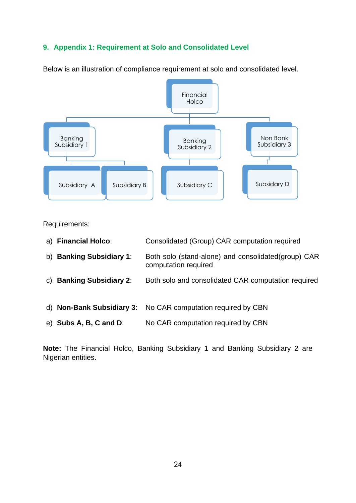## <span id="page-24-0"></span>**9. Appendix 1: Requirement at Solo and Consolidated Level**



Below is an illustration of compliance requirement at solo and consolidated level.

Requirements:

|              | a) Financial Holco:          | Consolidated (Group) CAR computation required                                |
|--------------|------------------------------|------------------------------------------------------------------------------|
| b)           | <b>Banking Subsidiary 1:</b> | Both solo (stand-alone) and consolidated (group) CAR<br>computation required |
| $\mathsf{C}$ | <b>Banking Subsidiary 2:</b> | Both solo and consolidated CAR computation required                          |
|              | d) Non-Bank Subsidiary 3:    | No CAR computation required by CBN                                           |
|              | $e)$ Subs A, B, C and D:     | No CAR computation required by CBN                                           |

**Note:** The Financial Holco, Banking Subsidiary 1 and Banking Subsidiary 2 are Nigerian entities.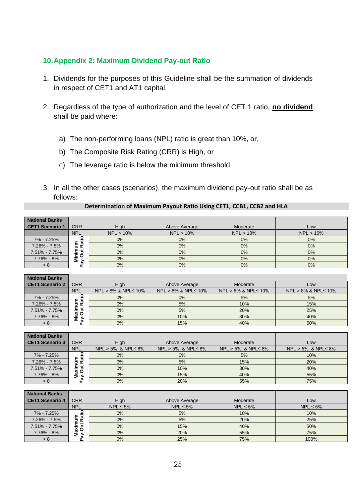#### <span id="page-25-0"></span>**10.Appendix 2: Maximum Dividend Pay-out Ratio**

- 1. Dividends for the purposes of this Guideline shall be the summation of dividends in respect of CET1 and AT1 capital.
- 2. Regardless of the type of authorization and the level of CET 1 ratio, **no dividend** shall be paid where:
	- a) The non-performing loans (NPL) ratio is great than 10%, or,
	- b) The Composite Risk Rating (CRR) is High, or
	- c) The leverage ratio is below the minimum threshold
- 3. In all the other cases (scenarios), the maximum dividend pay-out ratio shall be as follows:

| Determination of Maximum Payout Ratio Using CET1, CCB1, CCB2 and HLA |
|----------------------------------------------------------------------|
|----------------------------------------------------------------------|

| <b>National Banks</b> |             |              |               |              |           |
|-----------------------|-------------|--------------|---------------|--------------|-----------|
| CET1 Scenario 1       | <b>CRR</b>  | High         | Above Average | Moderate     | Low       |
|                       | <b>NPL</b>  | $NPL > 10\%$ | $NPL > 10\%$  | $NPL > 10\%$ | NPL > 10% |
| 7% - 7.25%            |             | $0\%$        | 0%            | 0%           | $0\%$     |
| 7.26% - 7.5%          | <u>ក្ថិ</u> | $0\%$        | 0%            | $0\%$        | 0%        |
| 7.51% - 7.75%         |             | 0%           | 0%            | 0%           | $0\%$     |
| 7.76% - 8%            | c<br>Σ      | $0\%$        | 0%            | 0%           | 0%        |
| > 8                   | ਫ਼ਿ<br>o.   | $0\%$        | 0%            | 0%           | 0%        |

| <b>National Banks</b>  |                    |                              |                              |                              |                              |
|------------------------|--------------------|------------------------------|------------------------------|------------------------------|------------------------------|
| <b>CET1 Scenario 2</b> | <b>CRR</b>         | High                         | Above Average                | Moderate                     | Low                          |
|                        | <b>NPL</b>         | $NPL > 8\%$ & $NPL \le 10\%$ | $NPL > 8\%$ & $NPL \le 10\%$ | $NPL > 8\%$ & $NPL \le 10\%$ | $NPL > 8\%$ & $NPL \le 10\%$ |
| 7% - 7.25%             |                    | $0\%$                        | 0%                           | 5%                           | 5%                           |
| $7.26\% - 7.5\%$       | ٤<br>ਨ<br>$\alpha$ | $0\%$                        | 5%                           | 10%                          | 15%                          |
| 7.51% - 7.75%          | ×                  | $0\%$                        | 5%                           | 20%                          | 25%                          |
| 7.76% - 8%             | o<br>æ<br>Σ.       | 0%                           | 10%                          | 30%                          | 40%                          |
| > 8                    | ਫ਼ਿ                | 0%                           | 15%                          | 40%                          | 50%                          |

| <b>National Banks</b>  |               |                            |                            |                            |                            |
|------------------------|---------------|----------------------------|----------------------------|----------------------------|----------------------------|
| <b>CET1 Scenario 3</b> | <b>CRR</b>    | High                       | Above Average              | Moderate                   | Low                        |
|                        | <b>NPL</b>    | $NPL > 5%$ & $NPL \leq 8%$ | $NPL > 5%$ & $NPL \leq 8%$ | $NPL > 5%$ & $NPL \leq 8%$ | $NPL > 5%$ & $NPL \leq 8%$ |
| 7% - 7.25%             | ੌਂਛ           | $0\%$                      | 0%                         | 5%                         | 10%                        |
| $7.26\% - 7.5\%$       | œ             | $0\%$                      | 5%                         | 15%                        | 20%                        |
| 7.51% - 7.75%          |               | $0\%$                      | 10%                        | 30%                        | 40%                        |
| 7.76% - 8%             | axi<br>Σ<br>⋗ | $0\%$                      | 15%                        | 40%                        | 55%                        |
| > 8                    |               | 0%                         | 20%                        | 55%                        | 75%                        |

| <b>National Banks</b>  |                    |                |                |                |                |
|------------------------|--------------------|----------------|----------------|----------------|----------------|
| <b>CET1 Scenario 4</b> | <b>CRR</b>         | High           | Above Average  | Moderate       | Low            |
|                        | <b>NPL</b>         | $NPL \leq 5\%$ | $NPL \leq 5\%$ | $NPL \leq 5\%$ | $NPL \leq 5\%$ |
| 7% - 7.25%             |                    | $0\%$          | 5%             | 10%            | 10%            |
| 7.26% - 7.5%           | ٤<br>ਨ<br>œ        | 0%             | 5%             | 20%            | 25%            |
| 7.51% - 7.75%          | ÷                  | $0\%$          | 15%            | 40%            | 50%            |
| 7.76% - 8%             | O<br>æ<br>Σ<br>ਫ਼ਿ | 0%             | 20%            | 55%            | 75%            |
| > 8                    |                    | $0\%$          | 25%            | 75%            | 100%           |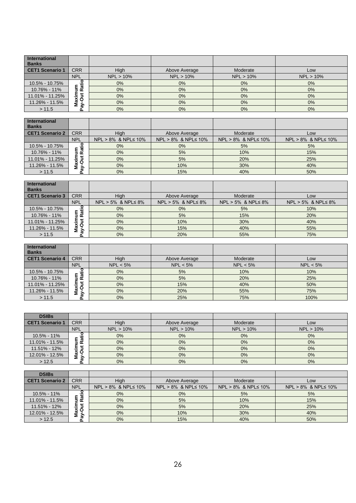| International<br><b>Banks</b> |                     |           |               |           |           |
|-------------------------------|---------------------|-----------|---------------|-----------|-----------|
| CET1 Scenario 1               | <b>CRR</b>          | High      | Above Average | Moderate  | Low       |
|                               | <b>NPL</b>          | NPL > 10% | $NPL > 10\%$  | NPL > 10% | NPL > 10% |
| 10.5% - 10.75%                | ਜ਼<br>٤<br>$\alpha$ | $0\%$     | 0%            | 0%        | 0%        |
| 10.76% - 11%                  |                     | $0\%$     | 0%            | $0\%$     | 0%        |
| 11.01% - 11.25%               |                     | $0\%$     | 0%            | $0\%$     | 0%        |
| 11.26% - 11.5%                | Maxim<br>O          | $0\%$     | 0%            | $0\%$     | 0%        |
| > 11.5                        | ਨੇ                  | $0\%$     | 0%            | 0%        | 0%        |

| International   |                        |                              |                              |                               |                     |
|-----------------|------------------------|------------------------------|------------------------------|-------------------------------|---------------------|
| <b>Banks</b>    |                        |                              |                              |                               |                     |
| CET1 Scenario 2 | <b>CRR</b>             | High                         | Above Average                | Moderate                      | Low                 |
|                 | <b>NPL</b>             | $NPL > 8\%$ & $NPL \le 10\%$ | $NPL > 8\%$ & $NPL \le 10\%$ | $NPL > 8\%$ & NPL $\leq 10\%$ | NPL > 8% & NPL≤ 10% |
| 10.5% - 10.75%  | ল<br>≃<br>=<br>Σō<br>Ξ | $0\%$                        | 0%                           | 5%                            | 5%                  |
| 10.76% - 11%    |                        | $0\%$                        | 5%                           | 10%                           | 15%                 |
| 11.01% - 11.25% |                        | $0\%$                        | 5%                           | 20%                           | 25%                 |
| 11.26% - 11.5%  |                        | $0\%$                        | 10%                          | 30%                           | 40%                 |
| > 11.5          | ଟି                     | $0\%$                        | 15%                          | 40%                           | 50%                 |

| <b>International</b>   |                |                            |                            |                            |                            |
|------------------------|----------------|----------------------------|----------------------------|----------------------------|----------------------------|
| <b>Banks</b>           |                |                            |                            |                            |                            |
| <b>CET1 Scenario 3</b> | <b>CRR</b>     | High                       | Above Average              | Moderate                   | Low                        |
|                        | <b>NPL</b>     | $NPL > 5%$ & $NPL \leq 8%$ | $NPL > 5%$ & $NPL \leq 8%$ | $NPL > 5%$ & $NPL \leq 8%$ | $NPL > 5%$ & $NPL \leq 8%$ |
| 10.5% - 10.75%         | ਛ              | $0\%$                      | 0%                         | 5%                         | 10%                        |
| 10.76% - 11%           | $\alpha$       | $0\%$                      | 5%                         | 15%                        | 20%                        |
| 11.01% - 11.25%        |                | $0\%$                      | 10%                        | 30%                        | 40%                        |
| 11.26% - 11.5%         | Maxim<br>N-Out | $0\%$                      | 15%                        | 40%                        | 55%                        |
| >11.5                  | ਫ਼ੇ<br>௨       | 0%                         | 20%                        | 55%                        | 75%                        |

| International<br><b>Banks</b> |                     |             |               |             |          |
|-------------------------------|---------------------|-------------|---------------|-------------|----------|
| CET1 Scenario 4               | <b>CRR</b>          | High        | Above Average | Moderate    | Low      |
|                               | <b>NPL</b>          | $NPL < 5\%$ | $NPL < 5\%$   | $NPL < 5\%$ | NPL < 5% |
| 10.5% - 10.75%                | Ŧã                  | $0\%$       | 5%            | 10%         | 10%      |
| 10.76% - 11%                  | g<br>E<br>œ         | $0\%$       | 5%            | 20%         | 25%      |
| 11.01% - 11.25%               |                     | $0\%$       | 15%           | 40%         | 50%      |
| 11.26% - 11.5%                | Maxim<br>N-Out<br>⋗ | 0%          | 20%           | 55%         | 75%      |
| > 11.5                        |                     | $0\%$       | 25%           | 75%         | 100%     |

| <b>DSIBs</b>           |               |           |               |              |           |
|------------------------|---------------|-----------|---------------|--------------|-----------|
| <b>CET1 Scenario 1</b> | <b>CRR</b>    | High      | Above Average | Moderate     | Low       |
|                        | <b>NPL</b>    | NPL > 10% | $NPL > 10\%$  | $NPL > 10\%$ | NPL > 10% |
| 10.5% - 11%            | Ŧ             | $0\%$     | 0%            | 0%           | 0%        |
| 11.01% - 11.5%         | œ             | 0%        | 0%            | 0%           | 0%        |
| 11.51% - 12%           |               | 0%        | 0%            | 0%           | 0%        |
| 12.01% - 12.5%         | Maxi<br>ay-Ou | $0\%$     | 0%            | 0%           | 0%        |
| >12.5                  | . हि<br>௨     | $0\%$     | 0%            | 0%           | 0%        |

| <b>DSIBs</b>           |                   |                              |                              |                               |                               |
|------------------------|-------------------|------------------------------|------------------------------|-------------------------------|-------------------------------|
| <b>CET1 Scenario 2</b> | <b>CRR</b>        | High                         | Above Average                | Moderate                      | Low                           |
|                        | <b>NPL</b>        | $NPL > 8\%$ & $NPL \le 10\%$ | $NPL > 8\%$ & $NPL \le 10\%$ | $NPL > 8\%$ & NPL $\leq 10\%$ | $NPL > 8\%$ & NPL $\leq 10\%$ |
| $10.5\% - 11\%$        |                   | $0\%$                        | 0%                           | 5%                            | 5%                            |
| 11.01% - 11.5%         | ল<br>$\alpha$     | $0\%$                        | 5%                           | 10%                           | 15%                           |
| 11.51% - 12%           |                   | $0\%$                        | 5%                           | 20%                           | 25%                           |
| 12.01% - 12.5%         | Maxi<br>N-Ou<br>⋗ | $0\%$                        | 10%                          | 30%                           | 40%                           |
| > 12.5                 | o.                | $0\%$                        | 15%                          | 40%                           | 50%                           |